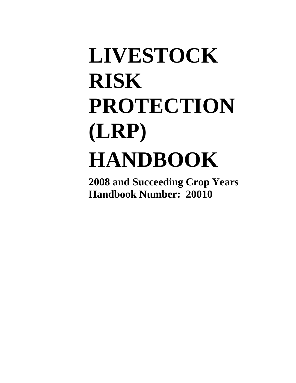# **LIVESTOCK RISK PROTECTION (LRP) HANDBOOK**

**2008 and Succeeding Crop Years Handbook Number: 20010**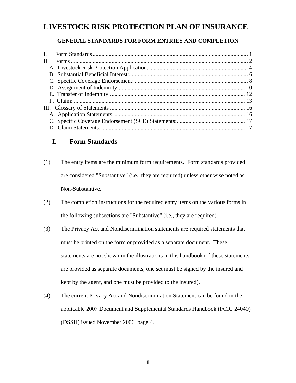# **LIVESTOCK RISK PROTECTION PLAN OF INSURANCE**

## **GENERAL STANDARDS FOR FORM ENTRIES AND COMPLETION**

| П. |  |
|----|--|
|    |  |
|    |  |
|    |  |
|    |  |
|    |  |
|    |  |
|    |  |
|    |  |
|    |  |
|    |  |
|    |  |

# **I. Form Standards**

- (1) The entry items are the minimum form requirements. Form standards provided are considered "Substantive" (i.e., they are required) unless other wise noted as Non-Substantive.
- (2) The completion instructions for the required entry items on the various forms in the following subsections are "Substantive" (i.e., they are required).
- (3) The Privacy Act and Nondiscrimination statements are required statements that must be printed on the form or provided as a separate document. These statements are not shown in the illustrations in this handbook (If these statements are provided as separate documents, one set must be signed by the insured and kept by the agent, and one must be provided to the insured).
- (4) The current Privacy Act and Nondiscrimination Statement can be found in the applicable 2007 Document and Supplemental Standards Handbook (FCIC 24040) (DSSH) issued November 2006, page 4.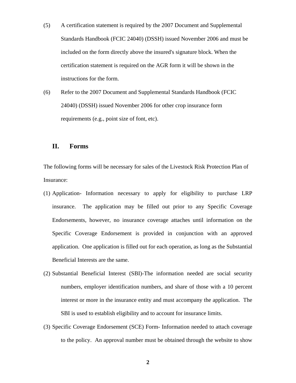- (5) A certification statement is required by the 2007 Document and Supplemental Standards Handbook (FCIC 24040) (DSSH) issued November 2006 and must be included on the form directly above the insured's signature block. When the certification statement is required on the AGR form it will be shown in the instructions for the form.
- (6) Refer to the 2007 Document and Supplemental Standards Handbook (FCIC 24040) (DSSH) issued November 2006 for other crop insurance form requirements (e.g., point size of font, etc).

#### **II. Forms**

The following forms will be necessary for sales of the Livestock Risk Protection Plan of Insurance:

- (1) Application- Information necessary to apply for eligibility to purchase LRP insurance. The application may be filled out prior to any Specific Coverage Endorsements, however, no insurance coverage attaches until information on the Specific Coverage Endorsement is provided in conjunction with an approved application. One application is filled out for each operation, as long as the Substantial Beneficial Interests are the same.
- (2) Substantial Beneficial Interest (SBI)-The information needed are social security numbers, employer identification numbers, and share of those with a 10 percent interest or more in the insurance entity and must accompany the application. The SBI is used to establish eligibility and to account for insurance limits.
- (3) Specific Coverage Endorsement (SCE) Form- Information needed to attach coverage to the policy. An approval number must be obtained through the website to show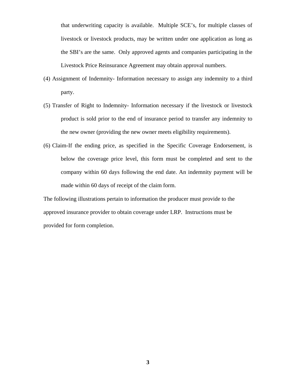that underwriting capacity is available. Multiple SCE's, for multiple classes of livestock or livestock products, may be written under one application as long as the SBI's are the same. Only approved agents and companies participating in the Livestock Price Reinsurance Agreement may obtain approval numbers.

- (4) Assignment of Indemnity- Information necessary to assign any indemnity to a third party.
- (5) Transfer of Right to Indemnity- Information necessary if the livestock or livestock product is sold prior to the end of insurance period to transfer any indemnity to the new owner (providing the new owner meets eligibility requirements).
- (6) Claim-If the ending price, as specified in the Specific Coverage Endorsement, is below the coverage price level, this form must be completed and sent to the company within 60 days following the end date. An indemnity payment will be made within 60 days of receipt of the claim form.

The following illustrations pertain to information the producer must provide to the approved insurance provider to obtain coverage under LRP. Instructions must be provided for form completion.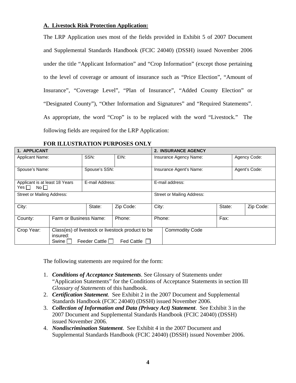#### **A. Livestock Risk Protection Application:**

The LRP Application uses most of the fields provided in Exhibit 5 of 2007 Document and Supplemental Standards Handbook (FCIC 24040) (DSSH) issued November 2006 under the title "Applicant Information" and "Crop Information" (except those pertaining to the level of coverage or amount of insurance such as "Price Election", "Amount of Insurance", "Coverage Level", "Plan of Insurance", "Added County Election" or "Designated County"), "Other Information and Signatures" and "Required Statements". As appropriate, the word "Crop" is to be replaced with the word "Livestock." The following fields are required for the LRP Application:

| 1. APPLICANT                                         |                                                                                                                                             |                                  |           | <b>2. INSURANCE AGENCY</b> |                                   |        |               |  |  |
|------------------------------------------------------|---------------------------------------------------------------------------------------------------------------------------------------------|----------------------------------|-----------|----------------------------|-----------------------------------|--------|---------------|--|--|
| <b>Applicant Name:</b>                               |                                                                                                                                             | SSN:                             | EIN:      | Insurance Agency Name:     |                                   |        | Agency Code:  |  |  |
|                                                      |                                                                                                                                             |                                  |           |                            |                                   |        |               |  |  |
| Spouse's Name:                                       |                                                                                                                                             | Spouse's SSN:                    |           |                            | Insurance Agent's Name:           |        | Agent's Code: |  |  |
|                                                      |                                                                                                                                             |                                  |           |                            |                                   |        |               |  |  |
| Applicant is at least 18 Years<br>$Yes \Box No \Box$ |                                                                                                                                             | E-mail Address:                  |           |                            | E-mail address:                   |        |               |  |  |
| <b>Street or Mailing Address:</b>                    |                                                                                                                                             |                                  |           |                            | <b>Street or Mailing Address:</b> |        |               |  |  |
| City:                                                | State:                                                                                                                                      |                                  | Zip Code: | City:                      |                                   | State: | Zip Code:     |  |  |
| County:                                              |                                                                                                                                             | Farm or Business Name:<br>Phone: |           |                            | Phone:                            |        |               |  |  |
| Crop Year:                                           | Class(es) of livestock or livestock product to be<br><b>Commodity Code</b><br>insured:<br>Feeder Cattle    <br><b>Fed Cattle</b><br>Swine I |                                  |           |                            |                                   |        |               |  |  |

#### **FOR ILLUSTRATION PURPOSES ONLY**

The following statements are required for the form:

- 1. *Conditions of Acceptance Statements*. See Glossary of Statements under "Application Statements" for the Conditions of Acceptance Statements in section III *Glossary of Statements* of this handbook.
- 2. *Certification Statement*. See Exhibit 2 in the 2007 Document and Supplemental Standards Handbook (FCIC 24040) (DSSH) issued November 2006.
- 3. *Collection of Information and Data (Privacy Act) Statement*. See Exhibit 3 in the 2007 Document and Supplemental Standards Handbook (FCIC 24040) (DSSH) issued November 2006.
- 4. *Nondiscrimination Statement*. See Exhibit 4 in the 2007 Document and Supplemental Standards Handbook (FCIC 24040) (DSSH) issued November 2006.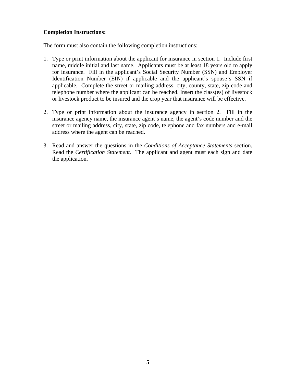#### **Completion Instructions:**

The form must also contain the following completion instructions:

- 1. Type or print information about the applicant for insurance in section 1. Include first name, middle initial and last name. Applicants must be at least 18 years old to apply for insurance. Fill in the applicant's Social Security Number (SSN) and Employer Identification Number (EIN) if applicable and the applicant's spouse's SSN if applicable. Complete the street or mailing address, city, county, state, zip code and telephone number where the applicant can be reached. Insert the class(es) of livestock or livestock product to be insured and the crop year that insurance will be effective.
- 2. Type or print information about the insurance agency in section 2. Fill in the insurance agency name, the insurance agent's name, the agent's code number and the street or mailing address, city, state, zip code, telephone and fax numbers and e-mail address where the agent can be reached.
- 3. Read and answer the questions in the *Conditions of Acceptance Statements* section. Read the *Certification Statement*. The applicant and agent must each sign and date the application.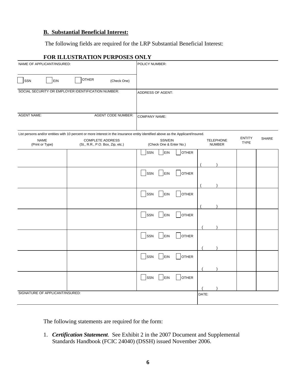#### **B. Substantial Beneficial Interest:**

The following fields are required for the LRP Substantial Beneficial Interest:

# **FOR ILLUSTRATION PURPOSES ONLY**

| NAME OF APPLICANT/INSURED:      |                                                                                                                                                                                                 | POLICY NUMBER:                                                                                          |              |
|---------------------------------|-------------------------------------------------------------------------------------------------------------------------------------------------------------------------------------------------|---------------------------------------------------------------------------------------------------------|--------------|
| SSN<br>EIN                      | OTHER<br>(Check One)                                                                                                                                                                            |                                                                                                         |              |
|                                 | SOCIAL SECURITY OR EMPLOYER IDENTIFICATION NUMBER:                                                                                                                                              | ADDRESS OF AGENT:                                                                                       |              |
| <b>AGENT NAME:</b>              | <b>AGENT CODE NUMBER:</b>                                                                                                                                                                       | <b>COMPANY NAME:</b>                                                                                    |              |
| <b>NAME</b><br>(Print or Type)  | List persons and/or entities with 10 percent or more interest in the insurance entity identified above as the Applicant/Insured.<br><b>COMPLETE ADDRESS</b><br>(St., R.R., P.O. Box, Zip, etc.) | <b>ENTITY</b><br>SSN/EIN<br><b>TELEPHONE</b><br><b>TYPE</b><br>(Check One & Enter No.)<br><b>NUMBER</b> | <b>SHARE</b> |
|                                 |                                                                                                                                                                                                 | EIN<br>SSN<br><b>OTHER</b>                                                                              |              |
|                                 |                                                                                                                                                                                                 | SSN<br>EIN<br><b>OTHER</b>                                                                              |              |
|                                 |                                                                                                                                                                                                 | SSN<br>EIN<br><b>OTHER</b>                                                                              |              |
|                                 |                                                                                                                                                                                                 | SSN<br>EIN<br><b>OTHER</b>                                                                              |              |
|                                 |                                                                                                                                                                                                 | SSN<br>EIN<br><b>OTHER</b>                                                                              |              |
|                                 |                                                                                                                                                                                                 | <b>OTHER</b><br>SSN<br>EIN                                                                              |              |
|                                 |                                                                                                                                                                                                 | EIN<br><b>OTHER</b><br>SSN                                                                              |              |
| SIGNATURE OF APPLICANT/INSURED: |                                                                                                                                                                                                 | DATE:                                                                                                   |              |

The following statements are required for the form:

1. *Certification Statement*. See Exhibit 2 in the 2007 Document and Supplemental Standards Handbook (FCIC 24040) (DSSH) issued November 2006.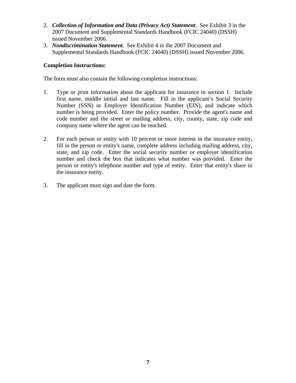- 2. *Collection of Information and Data (Privacy Act) Statement*. See Exhibit 3 in the 2007 Document and Supplemental Standards Handbook (FCIC 24040) (DSSH) issued November 2006.
- 3. *Nondiscrimination Statement*. See Exhibit 4 in the 2007 Document and Supplemental Standards Handbook (FCIC 24040) (DSSH) issued November 2006.

#### **Completion Instructions:**

The form must also contain the following completion instructions:

- 1. Type or print information about the applicant for insurance in section 1. Include first name, middle initial and last name. Fill in the applicant's Social Security Number (SSN) or Employer Identification Number (EIN), and indicate which number is being provided. Enter the policy number. Provide the agent's name and code number and the street or mailing address, city, county, state, zip code and company name where the agent can be reached.
- 2. For each person or entity with 10 percent or more interest in the insurance entity, fill in the person or entity's name, complete address including mailing address, city, state, and zip code. Enter the social security number or employer identification number and check the box that indicates what number was provided. Enter the person or entity's telephone number and type of entity. Enter that entity's share in the insurance entity.
- 3. The applicant must sign and date the form.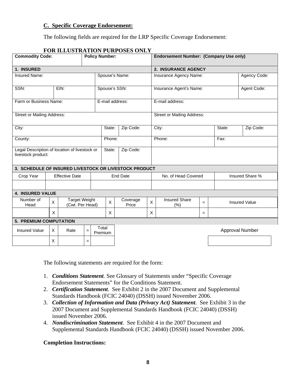#### **C. Specific Coverage Endorsement:**

The following fields are required for the LRP Specific Coverage Endorsement:

|                                                                     | I ON ILLUSTINITION I UNI OSLS ONLY<br><b>Policy Number:</b><br><b>Commodity Code:</b> |                                         |     |                  |               |                   | Endorsement Number: (Company Use only) |                                        |              |             |                      |  |
|---------------------------------------------------------------------|---------------------------------------------------------------------------------------|-----------------------------------------|-----|------------------|---------------|-------------------|----------------------------------------|----------------------------------------|--------------|-------------|----------------------|--|
| 1. INSURED                                                          |                                                                                       |                                         |     |                  |               |                   |                                        | 2. INSURANCE AGENCY                    |              |             |                      |  |
| <b>Insured Name:</b>                                                |                                                                                       |                                         |     | Spouse's Name:   |               |                   |                                        | Insurance Agency Name:                 | Agency Code: |             |                      |  |
| SSN:                                                                |                                                                                       | EIN:                                    |     |                  | Spouse's SSN: |                   |                                        | Insurance Agent's Name:                |              | Agent Code: |                      |  |
|                                                                     | Farm or Business Name:<br>E-mail address:                                             |                                         |     |                  |               |                   |                                        | E-mail address:                        |              |             |                      |  |
| <b>Street or Mailing Address:</b>                                   |                                                                                       |                                         |     |                  |               |                   |                                        | <b>Street or Mailing Address:</b>      |              |             |                      |  |
| City:                                                               |                                                                                       |                                         |     | State:           | Zip Code:     |                   | City:                                  |                                        | State:       | Zip Code:   |                      |  |
| County:                                                             |                                                                                       |                                         |     |                  | Phone:        |                   |                                        | Phone:<br>Fax:                         |              |             |                      |  |
| Legal Description of location of livestock or<br>livestock product: |                                                                                       |                                         |     |                  | State:        | Zip Code:         |                                        |                                        |              |             |                      |  |
| 3. SCHEDULE OF INSURED LIVESTOCK OR LIVESTOCK PRODUCT               |                                                                                       |                                         |     |                  |               |                   |                                        |                                        |              |             |                      |  |
| Crop Year                                                           |                                                                                       | <b>Effective Date</b>                   |     |                  |               | <b>End Date</b>   |                                        | No. of Head Covered<br>Insured Share % |              |             |                      |  |
|                                                                     |                                                                                       |                                         |     |                  |               |                   |                                        |                                        |              |             |                      |  |
| <b>4. INSURED VALUE</b>                                             |                                                                                       |                                         |     |                  |               |                   |                                        |                                        |              |             |                      |  |
| Number of<br>Head                                                   | $\mathsf{X}$                                                                          | <b>Target Weight</b><br>(Cwt. Per Head) |     |                  | X             | Coverage<br>Price | $\pmb{\times}$                         | <b>Insured Share</b><br>(% )           | $=$          |             | <b>Insured Value</b> |  |
|                                                                     | X                                                                                     |                                         |     |                  | X             |                   | X                                      |                                        | $=$          |             |                      |  |
| 5. PREMIUM COMPUTATION                                              |                                                                                       |                                         |     |                  |               |                   |                                        |                                        |              |             |                      |  |
| <b>Insured Value</b>                                                | $\times$                                                                              | Rate                                    | $=$ | Total<br>Premium |               |                   |                                        |                                        |              |             | Approval Number      |  |
|                                                                     | X                                                                                     |                                         | $=$ |                  |               |                   |                                        |                                        |              |             |                      |  |

#### **FOR ILLUSTRATION PURPOSES ONLY**

The following statements are required for the form:

- 1. *Conditions Statement*. See Glossary of Statements under "Specific Coverage Endorsement Statements" for the Conditions Statement.
- 2. *Certification Statement*. See Exhibit 2 in the 2007 Document and Supplemental Standards Handbook (FCIC 24040) (DSSH) issued November 2006.
- 3. *Collection of Information and Data (Privacy Act) Statement*. See Exhibit 3 in the 2007 Document and Supplemental Standards Handbook (FCIC 24040) (DSSH) issued November 2006.
- 4. *Nondiscrimination Statement*. See Exhibit 4 in the 2007 Document and Supplemental Standards Handbook (FCIC 24040) (DSSH) issued November 2006.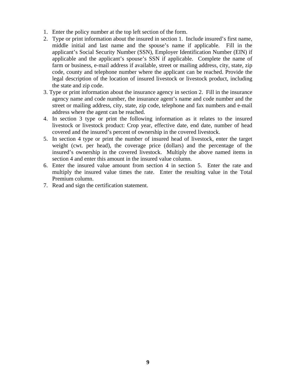- 1. Enter the policy number at the top left section of the form.
- 2. Type or print information about the insured in section 1. Include insured's first name, middle initial and last name and the spouse's name if applicable. Fill in the applicant's Social Security Number (SSN), Employer Identification Number (EIN) if applicable and the applicant's spouse's SSN if applicable. Complete the name of farm or business, e-mail address if available, street or mailing address, city, state, zip code, county and telephone number where the applicant can be reached. Provide the legal description of the location of insured livestock or livestock product, including the state and zip code.
- 3. Type or print information about the insurance agency in section 2. Fill in the insurance agency name and code number, the insurance agent's name and code number and the street or mailing address, city, state, zip code, telephone and fax numbers and e-mail address where the agent can be reached.
- 4. In section 3 type or print the following information as it relates to the insured livestock or livestock product: Crop year, effective date, end date, number of head covered and the insured's percent of ownership in the covered livestock.
- 5. In section 4 type or print the number of insured head of livestock, enter the target weight (cwt. per head), the coverage price (dollars) and the percentage of the insured's ownership in the covered livestock. Multiply the above named items in section 4 and enter this amount in the insured value column.
- 6. Enter the insured value amount from section 4 in section 5. Enter the rate and multiply the insured value times the rate. Enter the resulting value in the Total Premium column.
- 7. Read and sign the certification statement.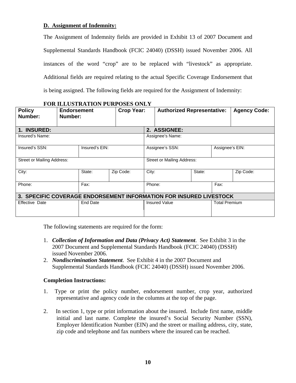#### **D. Assignment of Indemnity:**

The Assignment of Indemnity fields are provided in Exhibit 13 of 2007 Document and Supplemental Standards Handbook (FCIC 24040) (DSSH) issued November 2006. All instances of the word "crop" are to be replaced with "livestock" as appropriate. Additional fields are required relating to the actual Specific Coverage Endorsement that is being assigned. The following fields are required for the Assignment of Indemnity:

| <b>Policy</b><br>Number:                                           | <b>Endorsement</b><br>Number: |        | <b>Crop Year:</b> |                            | <b>Authorized Representative:</b> |                      |                 | <b>Agency Code:</b> |  |  |
|--------------------------------------------------------------------|-------------------------------|--------|-------------------|----------------------------|-----------------------------------|----------------------|-----------------|---------------------|--|--|
| 1. INSURED:                                                        |                               |        |                   | 2. ASSIGNEE:               |                                   |                      |                 |                     |  |  |
| Insured's Name:                                                    |                               |        |                   |                            | Assignee's Name:                  |                      |                 |                     |  |  |
| Insured's SSN:<br>Insured's EIN:                                   |                               |        |                   | Assignee's SSN:            |                                   |                      | Assignee's EIN: |                     |  |  |
| Street or Mailing Address:                                         |                               |        |                   | Street or Mailing Address: |                                   |                      |                 |                     |  |  |
| City:                                                              |                               | State: | Zip Code:         | City:                      |                                   | State:               |                 | Zip Code:           |  |  |
| Fax:<br>Phone:                                                     |                               |        | Fax:<br>Phone:    |                            |                                   |                      |                 |                     |  |  |
| 3. SPECIFIC COVERAGE ENDORSEMENT INFORMATION FOR INSURED LIVESTOCK |                               |        |                   |                            |                                   |                      |                 |                     |  |  |
| Effective Date<br>End Date                                         |                               |        |                   | <b>Insured Value</b>       |                                   | <b>Total Premium</b> |                 |                     |  |  |

## **FOR ILLUSTRATION PURPOSES ONLY**

The following statements are required for the form:

- 1. *Collection of Information and Data (Privacy Act) Statement*. See Exhibit 3 in the 2007 Document and Supplemental Standards Handbook (FCIC 24040) (DSSH) issued November 2006.
- 2. *Nondiscrimination Statement*. See Exhibit 4 in the 2007 Document and Supplemental Standards Handbook (FCIC 24040) (DSSH) issued November 2006.

- 1. Type or print the policy number, endorsement number, crop year, authorized representative and agency code in the columns at the top of the page.
- 2. In section 1, type or print information about the insured. Include first name, middle initial and last name. Complete the insured's Social Security Number (SSN), Employer Identification Number (EIN) and the street or mailing address, city, state, zip code and telephone and fax numbers where the insured can be reached.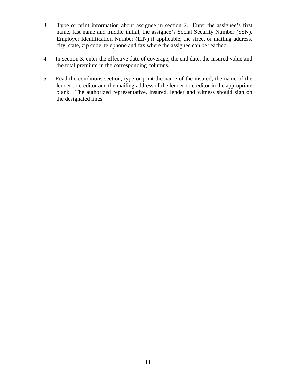- 3. Type or print information about assignee in section 2. Enter the assignee's first name, last name and middle initial, the assignee's Social Security Number (SSN), Employer Identification Number (EIN) if applicable, the street or mailing address, city, state, zip code, telephone and fax where the assignee can be reached.
- 4. In section 3, enter the effective date of coverage, the end date, the insured value and the total premium in the corresponding columns.
- 5. Read the conditions section, type or print the name of the insured, the name of the lender or creditor and the mailing address of the lender or creditor in the appropriate blank. The authorized representative, insured, lender and witness should sign on the designated lines.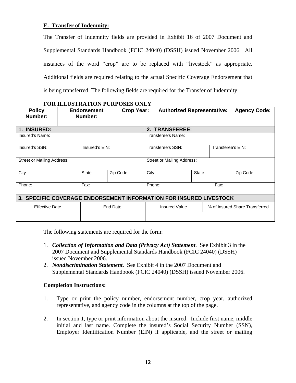#### **E. Transfer of Indemnity:**

The Transfer of Indemnity fields are provided in Exhibit 16 of 2007 Document and Supplemental Standards Handbook (FCIC 24040) (DSSH) issued November 2006. All instances of the word "crop" are to be replaced with "livestock" as appropriate. Additional fields are required relating to the actual Specific Coverage Endorsement that is being transferred. The following fields are required for the Transfer of Indemnity:

| <b>Policy</b><br>Number:                                           | <b>Endorsement</b><br>Number:     |                    | <b>Crop Year:</b> |                                        | <b>Authorized Representative:</b> |                                | <b>Agency Code:</b> |  |  |  |
|--------------------------------------------------------------------|-----------------------------------|--------------------|-------------------|----------------------------------------|-----------------------------------|--------------------------------|---------------------|--|--|--|
| 1. INSURED:                                                        |                                   |                    |                   | 2. TRANSFEREE:                         |                                   |                                |                     |  |  |  |
| Insured's Name:                                                    |                                   |                    |                   |                                        | Transferee's Name:                |                                |                     |  |  |  |
| Insured's SSN:<br>Insured's EIN:                                   |                                   |                    |                   | Transferee's SSN:<br>Transferee's EIN: |                                   |                                |                     |  |  |  |
| Street or Mailing Address:                                         |                                   |                    |                   | Street or Mailing Address:             |                                   |                                |                     |  |  |  |
| City:                                                              |                                   | State<br>Zip Code: |                   | City:                                  | State:                            |                                | Zip Code:           |  |  |  |
| Phone:                                                             | Fax:                              |                    |                   | Phone:                                 |                                   |                                | Fax:                |  |  |  |
| 3. SPECIFIC COVERAGE ENDORSEMENT INFORMATION FOR INSURED LIVESTOCK |                                   |                    |                   |                                        |                                   |                                |                     |  |  |  |
|                                                                    | End Date<br><b>Effective Date</b> |                    |                   | <b>Insured Value</b>                   |                                   | % of Insured Share Transferred |                     |  |  |  |

#### **FOR ILLUSTRATION PURPOSES ONLY**

The following statements are required for the form:

- 1. *Collection of Information and Data (Privacy Act) Statement*. See Exhibit 3 in the 2007 Document and Supplemental Standards Handbook (FCIC 24040) (DSSH) issued November 2006.
- 2. *Nondiscrimination Statement*. See Exhibit 4 in the 2007 Document and Supplemental Standards Handbook (FCIC 24040) (DSSH) issued November 2006.

- 1. Type or print the policy number, endorsement number, crop year, authorized representative, and agency code in the columns at the top of the page.
- 2. In section 1, type or print information about the insured. Include first name, middle initial and last name. Complete the insured's Social Security Number (SSN), Employer Identification Number (EIN) if applicable, and the street or mailing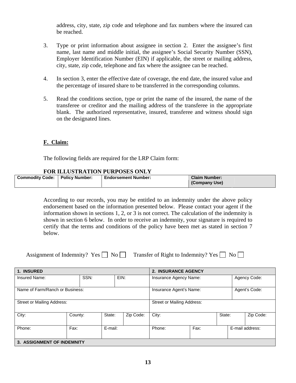address, city, state, zip code and telephone and fax numbers where the insured can be reached.

- 3. Type or print information about assignee in section 2. Enter the assignee's first name, last name and middle initial, the assignee's Social Security Number (SSN), Employer Identification Number (EIN) if applicable, the street or mailing address, city, state, zip code, telephone and fax where the assignee can be reached.
- 4. In section 3, enter the effective date of coverage, the end date, the insured value and the percentage of insured share to be transferred in the corresponding columns.
- 5. Read the conditions section, type or print the name of the insured, the name of the transferee or creditor and the mailing address of the transferee in the appropriate blank. The authorized representative, insured, transferee and witness should sign on the designated lines.

#### **F. Claim:**

The following fields are required for the LRP Claim form:

#### **FOR ILLUSTRATION PURPOSES ONLY**

| <b>Commodity Code:</b> | <b>Policy Number:</b> | <b>Endorsement Number:</b> | <b>Claim Number:</b> |
|------------------------|-----------------------|----------------------------|----------------------|
|                        |                       |                            | (Company Use)        |
|                        |                       |                            |                      |

According to our records, you may be entitled to an indemnity under the above policy endorsement based on the information presented below. Please contact your agent if the information shown in sections 1, 2, or 3 is not correct. The calculation of the indemnity is shown in section 6 below. In order to receive an indemnity, your signature is required to certify that the terms and conditions of the policy have been met as stated in section 7 below.

Assignment of Indemnity? Yes  $\Box$  No  $\Box$  Transfer of Right to Indemnity? Yes  $\Box$  No  $\Box$ 

| 1. INSURED                      |                            |         |  |                        | 2. INSURANCE AGENCY                      |              |  |           |                 |  |
|---------------------------------|----------------------------|---------|--|------------------------|------------------------------------------|--------------|--|-----------|-----------------|--|
| SSN:<br>EIN:<br>Insured Name:   |                            |         |  | Insurance Agency Name: |                                          | Agency Code: |  |           |                 |  |
| Name of Farm/Ranch or Business: |                            |         |  |                        | Insurance Agent's Name:<br>Agent's Code: |              |  |           |                 |  |
| Street or Mailing Address:      |                            |         |  |                        | <b>Street or Mailing Address:</b>        |              |  |           |                 |  |
| City:                           | County:                    | State:  |  | Zip Code:              | City:<br>State:                          |              |  | Zip Code: |                 |  |
| Phone:                          | Fax:                       | E-mail: |  |                        | Phone:                                   | Fax:         |  |           | E-mail address: |  |
|                                 | 3. ASSIGNMENT OF INDEMNITY |         |  |                        |                                          |              |  |           |                 |  |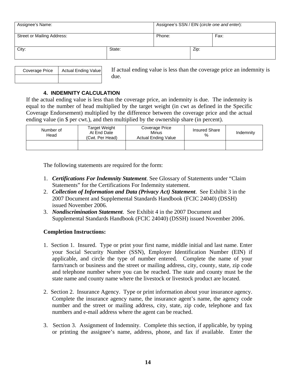| Assignee's Name:           |        | Assignee's SSN / EIN (circle one and enter): |      |      |  |  |
|----------------------------|--------|----------------------------------------------|------|------|--|--|
| Street or Mailing Address: |        | Phone:                                       |      | Fax: |  |  |
| City:                      | State: |                                              | Zip: |      |  |  |

| Coverage Price | Actual Ending Value |  |  |  |  |
|----------------|---------------------|--|--|--|--|
|                |                     |  |  |  |  |

If actual ending value is less than the coverage price an indemnity is due.

#### **4. INDEMNITY CALCULATION**

If the actual ending value is less than the coverage price, an indemnity is due. The indemnity is equal to the number of head multiplied by the target weight (in cwt as defined in the Specific Coverage Endorsement) multiplied by the difference between the coverage price and the actual ending value (in \$ per cwt.), and then multiplied by the ownership share (in percent).

| Number of<br>Head | <b>Target Weight</b><br>At End Date<br>(Cwt. Per Head) | Coverage Price<br>Minus<br><b>Actual Ending Value</b> | <b>Insured Share</b><br>% | Indemnity |
|-------------------|--------------------------------------------------------|-------------------------------------------------------|---------------------------|-----------|
|                   |                                                        |                                                       |                           |           |

The following statements are required for the form:

- 1. *Certifications For Indemnity Statement*. See Glossary of Statements under "Claim Statements" for the Certifications For Indemnity statement.
- 2. *Collection of Information and Data (Privacy Act) Statement*. See Exhibit 3 in the 2007 Document and Supplemental Standards Handbook (FCIC 24040) (DSSH) issued November 2006.
- 3. *Nondiscrimination Statement*. See Exhibit 4 in the 2007 Document and Supplemental Standards Handbook (FCIC 24040) (DSSH) issued November 2006.

- 1. Section 1. Insured. Type or print your first name, middle initial and last name. Enter your Social Security Number (SSN), Employer Identification Number (EIN) if applicable, and circle the type of number entered. Complete the name of your farm/ranch or business and the street or mailing address, city, county, state, zip code and telephone number where you can be reached. The state and county must be the state name and county name where the livestock or livestock product are located.
- 2. Section 2. Insurance Agency. Type or print information about your insurance agency. Complete the insurance agency name, the insurance agent's name, the agency code number and the street or mailing address, city, state, zip code, telephone and fax numbers and e-mail address where the agent can be reached.
- 3. Section 3. Assignment of Indemnity. Complete this section, if applicable, by typing or printing the assignee's name, address, phone, and fax if available. Enter the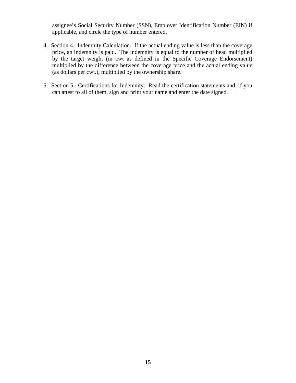assignee's Social Security Number (SSN), Employer Identification Number (EIN) if applicable, and circle the type of number entered.

- 4. Section 4. Indemnity Calculation. If the actual ending value is less than the coverage price, an indemnity is paid. The indemnity is equal to the number of head multiplied by the target weight (in cwt as defined in the Specific Coverage Endorsement) multiplied by the difference between the coverage price and the actual ending value (as dollars per cwt.), multiplied by the ownership share.
- 5. Section 5. Certifications for Indemnity. Read the certification statements and, if you can attest to all of them, sign and print your name and enter the date signed.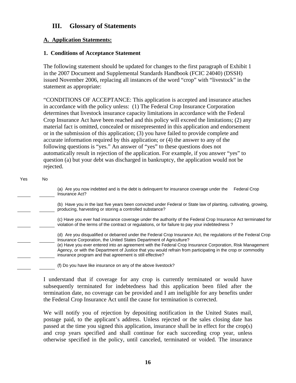# **III. Glossary of Statements**

# **A. Application Statements:**

#### **1. Conditions of Acceptance Statement**

The following statement should be updated for changes to the first paragraph of Exhibit 1 in the 2007 Document and Supplemental Standards Handbook (FCIC 24040) (DSSH) issued November 2006, replacing all instances of the word "crop" with "livestock" in the statement as appropriate:

"CONDITIONS OF ACCEPTANCE: This application is accepted and insurance attaches in accordance with the policy unless: (1) The Federal Crop Insurance Corporation determines that livestock insurance capacity limitations in accordance with the Federal Crop Insurance Act have been reached and this policy will exceed the limitations; (2) any material fact is omitted, concealed or misrepresented in this application and endorsement or in the submission of this application; (3) you have failed to provide complete and accurate information required by this application; or (4) the answer to any of the following questions is "yes." An answer of "yes" to these questions does not automatically result in rejection of the application. For example, if you answer "yes" to question (a) but your debt was discharged in bankruptcy, the application would not be rejected.

#### Yes No

 (a) Are you now indebted and is the debt is delinquent for insurance coverage under the Federal Crop Insurance Act?

 (b) Have you in the last five years been convicted under Federal or State law of planting, cultivating, growing, producing, harvesting or storing a controlled substance?

 (c) Have you ever had insurance coverage under the authority of the Federal Crop Insurance Act terminated for violation of the terms of the contract or regulations, or for failure to pay your indebtedness ?

 (d) Are you disqualified or debarred under the Federal Crop Insurance Act, the regulations of the Federal Crop Insurance Corporation, the United States Department of Agriculture? (e) Have you ever entered into an agreement with the Federal Crop Insurance Corporation, Risk Management

Agency, or with the Department of Justice that you would refrain from participating in the crop or commodity insurance program and that agreement is still effective?

(f) Do you have like insurance on any of the above livestock?

I understand that if coverage for any crop is currently terminated or would have subsequently terminated for indebtedness had this application been filed after the termination date, no coverage can be provided and I am ineligible for any benefits under the Federal Crop Insurance Act until the cause for termination is corrected.

We will notify you of rejection by depositing notification in the United States mail, postage paid, to the applicant's address. Unless rejected or the sales closing date has passed at the time you signed this application, insurance shall be in effect for the crop(s) and crop years specified and shall continue for each succeeding crop year, unless otherwise specified in the policy, until canceled, terminated or voided. The insurance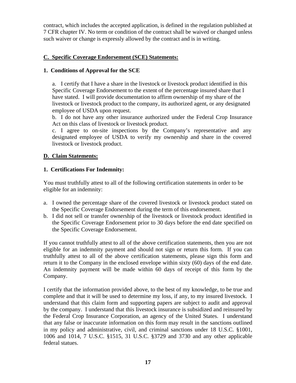contract, which includes the accepted application, is defined in the regulation published at 7 CFR chapter IV. No term or condition of the contract shall be waived or changed unless such waiver or change is expressly allowed by the contract and is in writing.

# **C. Specific Coverage Endorsement (SCE) Statements:**

## **1. Conditions of Approval for the SCE**

a. I certify that I have a share in the livestock or livestock product identified in this Specific Coverage Endorsement to the extent of the percentage insured share that I have stated. I will provide documentation to affirm ownership of my share of the livestock or livestock product to the company, its authorized agent, or any designated employee of USDA upon request.

b. I do not have any other insurance authorized under the Federal Crop Insurance Act on this class of livestock or livestock product.

c. I agree to on-site inspections by the Company's representative and any designated employee of USDA to verify my ownership and share in the covered livestock or livestock product.

## **D. Claim Statements:**

## **1. Certifications For Indemnity:**

You must truthfully attest to all of the following certification statements in order to be eligible for an indemnity:

- a. I owned the percentage share of the covered livestock or livestock product stated on the Specific Coverage Endorsement during the term of this endorsement.
- b. I did not sell or transfer ownership of the livestock or livestock product identified in the Specific Coverage Endorsement prior to 30 days before the end date specified on the Specific Coverage Endorsement.

If you cannot truthfully attest to all of the above certification statements, then you are not eligible for an indemnity payment and should not sign or return this form. If you can truthfully attest to all of the above certification statements, please sign this form and return it to the Company in the enclosed envelope within sixty (60) days of the end date. An indemnity payment will be made within 60 days of receipt of this form by the Company.

I certify that the information provided above, to the best of my knowledge, to be true and complete and that it will be used to determine my loss, if any, to my insured livestock. I understand that this claim form and supporting papers are subject to audit and approval by the company. I understand that this livestock insurance is subsidized and reinsured by the Federal Crop Insurance Corporation, an agency of the United States. I understand that any false or inaccurate information on this form may result in the sanctions outlined in my policy and administrative, civil, and criminal sanctions under 18 U.S.C. §1001, 1006 and 1014, 7 U.S.C. §1515, 31 U.S.C. §3729 and 3730 and any other applicable federal statues.